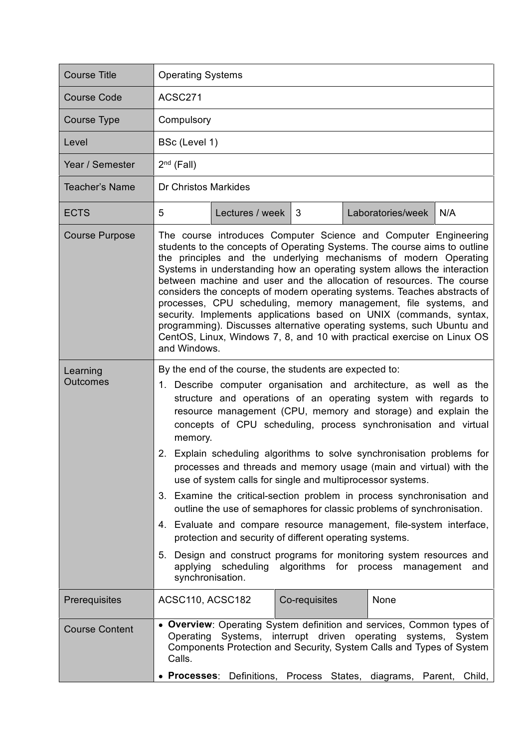| <b>Course Title</b>         | <b>Operating Systems</b>                                                                                                                                                                                                                                                                                                                                                                                                                                                                                                                                                                                                                                                                                                                                                                                                                                                                                                                                                                                           |  |  |  |
|-----------------------------|--------------------------------------------------------------------------------------------------------------------------------------------------------------------------------------------------------------------------------------------------------------------------------------------------------------------------------------------------------------------------------------------------------------------------------------------------------------------------------------------------------------------------------------------------------------------------------------------------------------------------------------------------------------------------------------------------------------------------------------------------------------------------------------------------------------------------------------------------------------------------------------------------------------------------------------------------------------------------------------------------------------------|--|--|--|
| <b>Course Code</b>          | ACSC271                                                                                                                                                                                                                                                                                                                                                                                                                                                                                                                                                                                                                                                                                                                                                                                                                                                                                                                                                                                                            |  |  |  |
| <b>Course Type</b>          | Compulsory                                                                                                                                                                                                                                                                                                                                                                                                                                                                                                                                                                                                                                                                                                                                                                                                                                                                                                                                                                                                         |  |  |  |
| Level                       | BSc (Level 1)                                                                                                                                                                                                                                                                                                                                                                                                                                                                                                                                                                                                                                                                                                                                                                                                                                                                                                                                                                                                      |  |  |  |
| Year / Semester             | $2nd$ (Fall)                                                                                                                                                                                                                                                                                                                                                                                                                                                                                                                                                                                                                                                                                                                                                                                                                                                                                                                                                                                                       |  |  |  |
| Teacher's Name              | <b>Dr Christos Markides</b>                                                                                                                                                                                                                                                                                                                                                                                                                                                                                                                                                                                                                                                                                                                                                                                                                                                                                                                                                                                        |  |  |  |
| <b>ECTS</b>                 | 5<br>Lectures / week<br>3<br>Laboratories/week<br>N/A                                                                                                                                                                                                                                                                                                                                                                                                                                                                                                                                                                                                                                                                                                                                                                                                                                                                                                                                                              |  |  |  |
| <b>Course Purpose</b>       | The course introduces Computer Science and Computer Engineering<br>students to the concepts of Operating Systems. The course aims to outline<br>the principles and the underlying mechanisms of modern Operating<br>Systems in understanding how an operating system allows the interaction<br>between machine and user and the allocation of resources. The course<br>considers the concepts of modern operating systems. Teaches abstracts of<br>processes, CPU scheduling, memory management, file systems, and<br>security. Implements applications based on UNIX (commands, syntax,<br>programming). Discusses alternative operating systems, such Ubuntu and<br>CentOS, Linux, Windows 7, 8, and 10 with practical exercise on Linux OS<br>and Windows.                                                                                                                                                                                                                                                      |  |  |  |
| Learning<br><b>Outcomes</b> | By the end of the course, the students are expected to:<br>1. Describe computer organisation and architecture, as well as the<br>structure and operations of an operating system with regards to<br>resource management (CPU, memory and storage) and explain the<br>concepts of CPU scheduling, process synchronisation and virtual<br>memory.<br>2. Explain scheduling algorithms to solve synchronisation problems for<br>processes and threads and memory usage (main and virtual) with the<br>use of system calls for single and multiprocessor systems.<br>3. Examine the critical-section problem in process synchronisation and<br>outline the use of semaphores for classic problems of synchronisation.<br>4. Evaluate and compare resource management, file-system interface,<br>protection and security of different operating systems.<br>Design and construct programs for monitoring system resources and<br>5.<br>applying scheduling algorithms for process management<br>and<br>synchronisation. |  |  |  |
| Prerequisites               | ACSC110, ACSC182<br>Co-requisites<br>None                                                                                                                                                                                                                                                                                                                                                                                                                                                                                                                                                                                                                                                                                                                                                                                                                                                                                                                                                                          |  |  |  |
| <b>Course Content</b>       | • Overview: Operating System definition and services, Common types of<br>interrupt driven operating<br>Systems,<br>Operating<br>systems,<br>System<br>Components Protection and Security, System Calls and Types of System<br>Calls.<br>• Processes: Definitions,<br>Process States,<br>diagrams,<br>Parent, Child,                                                                                                                                                                                                                                                                                                                                                                                                                                                                                                                                                                                                                                                                                                |  |  |  |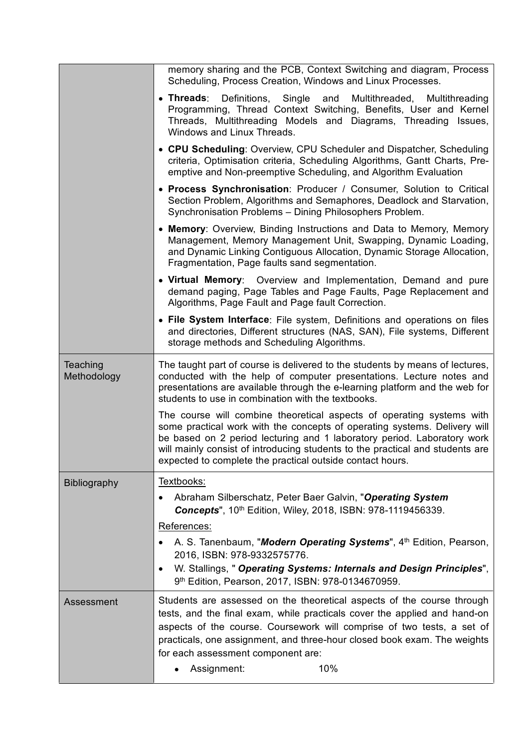|                         | memory sharing and the PCB, Context Switching and diagram, Process<br>Scheduling, Process Creation, Windows and Linux Processes.                                                                                                                                                                                                                                            |
|-------------------------|-----------------------------------------------------------------------------------------------------------------------------------------------------------------------------------------------------------------------------------------------------------------------------------------------------------------------------------------------------------------------------|
|                         | • Threads: Definitions, Single and<br>Multithreaded, Multithreading<br>Programming, Thread Context Switching, Benefits, User and Kernel<br>Threads, Multithreading Models and Diagrams, Threading Issues,<br>Windows and Linux Threads.                                                                                                                                     |
|                         | • CPU Scheduling: Overview, CPU Scheduler and Dispatcher, Scheduling<br>criteria, Optimisation criteria, Scheduling Algorithms, Gantt Charts, Pre-<br>emptive and Non-preemptive Scheduling, and Algorithm Evaluation                                                                                                                                                       |
|                         | • Process Synchronisation: Producer / Consumer, Solution to Critical<br>Section Problem, Algorithms and Semaphores, Deadlock and Starvation,<br>Synchronisation Problems - Dining Philosophers Problem.                                                                                                                                                                     |
|                         | • Memory: Overview, Binding Instructions and Data to Memory, Memory<br>Management, Memory Management Unit, Swapping, Dynamic Loading,<br>and Dynamic Linking Contiguous Allocation, Dynamic Storage Allocation,<br>Fragmentation, Page faults sand segmentation.                                                                                                            |
|                         | • Virtual Memory: Overview and Implementation, Demand and pure<br>demand paging, Page Tables and Page Faults, Page Replacement and<br>Algorithms, Page Fault and Page fault Correction.                                                                                                                                                                                     |
|                         | • File System Interface: File system, Definitions and operations on files<br>and directories, Different structures (NAS, SAN), File systems, Different<br>storage methods and Scheduling Algorithms.                                                                                                                                                                        |
| Teaching<br>Methodology | The taught part of course is delivered to the students by means of lectures,<br>conducted with the help of computer presentations. Lecture notes and<br>presentations are available through the e-learning platform and the web for<br>students to use in combination with the textbooks.                                                                                   |
|                         | The course will combine theoretical aspects of operating systems with<br>some practical work with the concepts of operating systems. Delivery will<br>be based on 2 period lecturing and 1 laboratory period. Laboratory work<br>will mainly consist of introducing students to the practical and students are<br>expected to complete the practical outside contact hours. |
| <b>Bibliography</b>     | Textbooks:                                                                                                                                                                                                                                                                                                                                                                  |
|                         | Abraham Silberschatz, Peter Baer Galvin, "Operating System<br><b>Concepts", 10th Edition, Wiley, 2018, ISBN: 978-1119456339.</b>                                                                                                                                                                                                                                            |
|                         | References:                                                                                                                                                                                                                                                                                                                                                                 |
|                         | A. S. Tanenbaum, "Modern Operating Systems", 4 <sup>th</sup> Edition, Pearson,<br>2016, ISBN: 978-9332575776.                                                                                                                                                                                                                                                               |
|                         | W. Stallings, " Operating Systems: Internals and Design Principles",<br>$\bullet$<br>9th Edition, Pearson, 2017, ISBN: 978-0134670959.                                                                                                                                                                                                                                      |
| Assessment              | Students are assessed on the theoretical aspects of the course through<br>tests, and the final exam, while practicals cover the applied and hand-on<br>aspects of the course. Coursework will comprise of two tests, a set of<br>practicals, one assignment, and three-hour closed book exam. The weights<br>for each assessment component are:                             |
|                         | 10%<br>Assignment:                                                                                                                                                                                                                                                                                                                                                          |